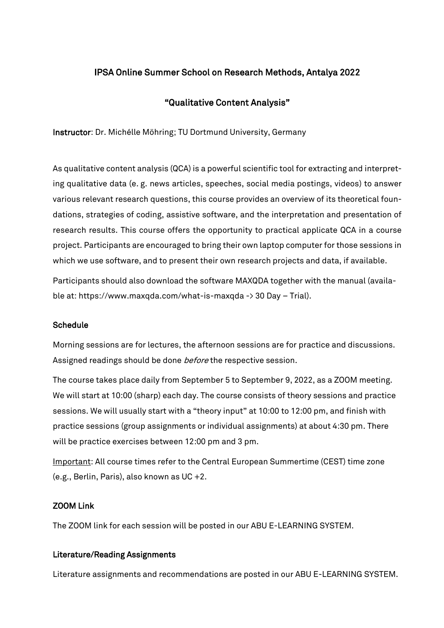# IPSA Online Summer School on Research Methods, Antalya 2022

## "Qualitative Content Analysis"

Instructor: Dr. Michélle Möhring; TU Dortmund University, Germany

As qualitative content analysis (QCA) is a powerful scientific tool for extracting and interpreting qualitative data (e. g. news articles, speeches, social media postings, videos) to answer various relevant research questions, this course provides an overview of its theoretical foundations, strategies of coding, assistive software, and the interpretation and presentation of research results. This course offers the opportunity to practical applicate QCA in a course project. Participants are encouraged to bring their own laptop computer for those sessions in which we use software, and to present their own research projects and data, if available.

Participants should also download the software MAXQDA together with the manual (available at: https://www.maxqda.com/what-is-maxqda -> 30 Day – Trial).

#### Schedule

Morning sessions are for lectures, the afternoon sessions are for practice and discussions. Assigned readings should be done *before* the respective session.

The course takes place daily from September 5 to September 9, 2022, as a ZOOM meeting. We will start at 10:00 (sharp) each day. The course consists of theory sessions and practice sessions. We will usually start with a "theory input" at 10:00 to 12:00 pm, and finish with practice sessions (group assignments or individual assignments) at about 4:30 pm. There will be practice exercises between 12:00 pm and 3 pm.

Important: All course times refer to the Central European Summertime (CEST) time zone (e.g., Berlin, Paris), also known as UC +2.

## ZOOM Link

The ZOOM link for each session will be posted in our ABU E-LEARNING SYSTEM.

## Literature/Reading Assignments

Literature assignments and recommendations are posted in our ABU E-LEARNING SYSTEM.